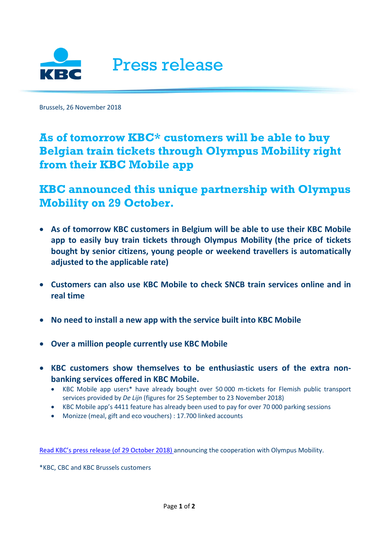

Brussels, 26 November 2018

## **As of tomorrow KBC\* customers will be able to buy Belgian train tickets through Olympus Mobility right from their KBC Mobile app**

## **KBC announced this unique partnership with Olympus Mobility on 29 October.**

- **As of tomorrow KBC customers in Belgium will be able to use their KBC Mobile app to easily buy train tickets through Olympus Mobility (the price of tickets bought by senior citizens, young people or weekend travellers is automatically adjusted to the applicable rate)**
- **Customers can also use KBC Mobile to check SNCB train services online and in real time**
- **No need to install a new app with the service built into KBC Mobile**
- **Over a million people currently use KBC Mobile**
- **KBC customers show themselves to be enthusiastic users of the extra nonbanking services offered in KBC Mobile.**
	- KBC Mobile app users\* have already bought over 50 000 m-tickets for Flemish public transport services provided by *De Lijn* (figures for 25 September to 23 November 2018)
	- KBC Mobile app's 4411 feature has already been used to pay for over 70 000 parking sessions
	- Monizze (meal, gift and eco vouchers) : 17.700 linked accounts

Read KBC's [press release \(of 29 October 2018\) announcing the cooperation with Olympus Mobility.](https://newsroom.kbc.com/kbccbckbc-brussels-customers-able-to-buy-belgian-railway-tickets-soon-from-olympus-mobility-using-kbc-mobile)

\*KBC, CBC and KBC Brussels customers